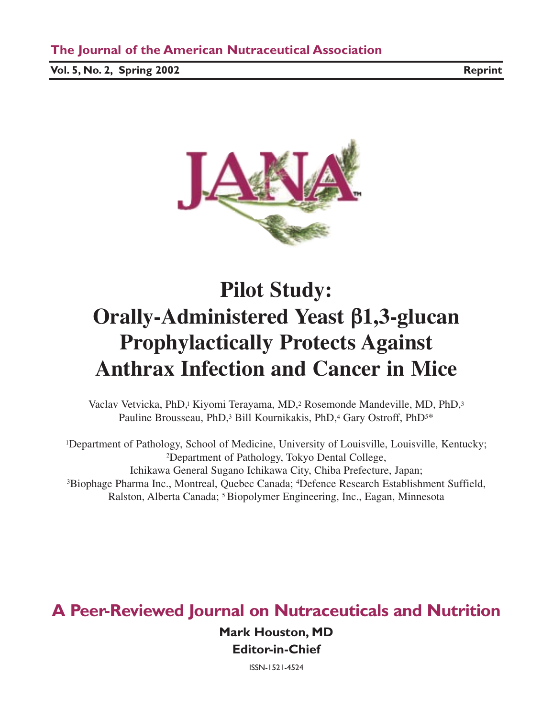**Vol. 5, No. 2, Spring 2002 Reprint**



# **Pilot Study: Orally-Administered Yeast** β**1,3-glucan Prophylactically Protects Against Anthrax Infection and Cancer in Mice**

Vaclav Vetvicka, PhD,1 Kiyomi Terayama, MD,2 Rosemonde Mandeville, MD, PhD,3 Pauline Brousseau, PhD,<sup>3</sup> Bill Kournikakis, PhD,<sup>4</sup> Gary Ostroff, PhD<sup>5\*</sup>

1Department of Pathology, School of Medicine, University of Louisville, Louisville, Kentucky; 2Department of Pathology, Tokyo Dental College, Ichikawa General Sugano Ichikawa City, Chiba Prefecture, Japan; 3Biophage Pharma Inc., Montreal, Quebec Canada; 4Defence Research Establishment Suffield, Ralston, Alberta Canada; 5 Biopolymer Engineering, Inc., Eagan, Minnesota

### **A Peer-Reviewed Journal on Nutraceuticals and Nutrition**

**Mark Houston, MD Editor-in-Chief**

ISSN-1521-4524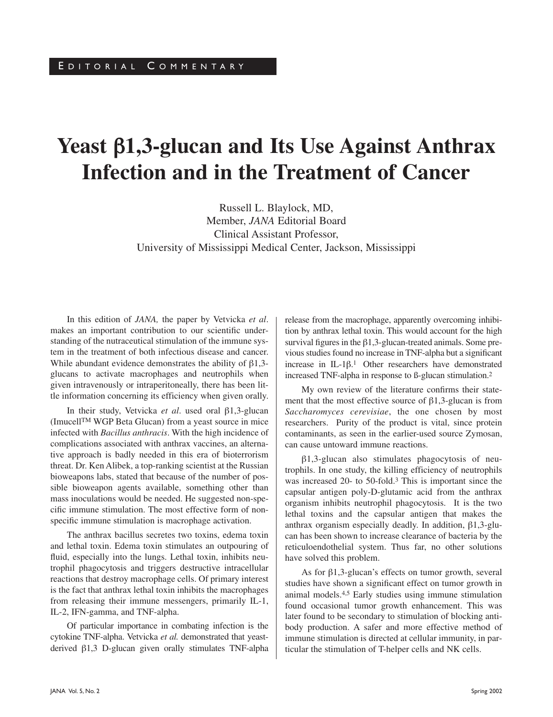## **Yeast** β**1,3-glucan and Its Use Against Anthrax Infection and in the Treatment of Cancer**

Russell L. Blaylock, MD, Member, *JANA* Editorial Board Clinical Assistant Professor, University of Mississippi Medical Center, Jackson, Mississippi

In this edition of *JANA,* the paper by Vetvicka *et al*. makes an important contribution to our scientific understanding of the nutraceutical stimulation of the immune system in the treatment of both infectious disease and cancer. While abundant evidence demonstrates the ability of β1,3 glucans to activate macrophages and neutrophils when given intravenously or intraperitoneally, there has been little information concerning its efficiency when given orally.

In their study, Vetvicka *et al*. used oral β1,3-glucan (ImucellTM WGP Beta Glucan) from a yeast source in mice infected with *Bacillus anthracis*. With the high incidence of complications associated with anthrax vaccines, an alternative approach is badly needed in this era of bioterrorism threat. Dr. Ken Alibek, a top-ranking scientist at the Russian bioweapons labs, stated that because of the number of possible bioweapon agents available, something other than mass inoculations would be needed. He suggested non-specific immune stimulation. The most effective form of nonspecific immune stimulation is macrophage activation.

The anthrax bacillus secretes two toxins, edema toxin and lethal toxin. Edema toxin stimulates an outpouring of fluid, especially into the lungs. Lethal toxin, inhibits neutrophil phagocytosis and triggers destructive intracellular reactions that destroy macrophage cells. Of primary interest is the fact that anthrax lethal toxin inhibits the macrophages from releasing their immune messengers, primarily IL-1, IL-2, IFN-gamma, and TNF-alpha.

Of particular importance in combating infection is the cytokine TNF-alpha. Vetvicka *et al.* demonstrated that yeastderived β1,3 D-glucan given orally stimulates TNF-alpha release from the macrophage, apparently overcoming inhibition by anthrax lethal toxin. This would account for the high survival figures in the β1,3-glucan-treated animals. Some previous studies found no increase in TNF-alpha but a significant increase in IL-1β.1 Other researchers have demonstrated increased TNF-alpha in response to ß-glucan stimulation.2

My own review of the literature confirms their statement that the most effective source of  $\beta$ 1,3-glucan is from *Saccharomyces cerevisiae*, the one chosen by most researchers. Purity of the product is vital, since protein contaminants, as seen in the earlier-used source Zymosan, can cause untoward immune reactions.

β1,3-glucan also stimulates phagocytosis of neutrophils. In one study, the killing efficiency of neutrophils was increased 20- to 50-fold.3 This is important since the capsular antigen poly-D-glutamic acid from the anthrax organism inhibits neutrophil phagocytosis. It is the two lethal toxins and the capsular antigen that makes the anthrax organism especially deadly. In addition, β1,3-glucan has been shown to increase clearance of bacteria by the reticuloendothelial system. Thus far, no other solutions have solved this problem.

As for  $\beta$ 1,3-glucan's effects on tumor growth, several studies have shown a significant effect on tumor growth in animal models.4,5 Early studies using immune stimulation found occasional tumor growth enhancement. This was later found to be secondary to stimulation of blocking antibody production. A safer and more effective method of immune stimulation is directed at cellular immunity, in particular the stimulation of T-helper cells and NK cells.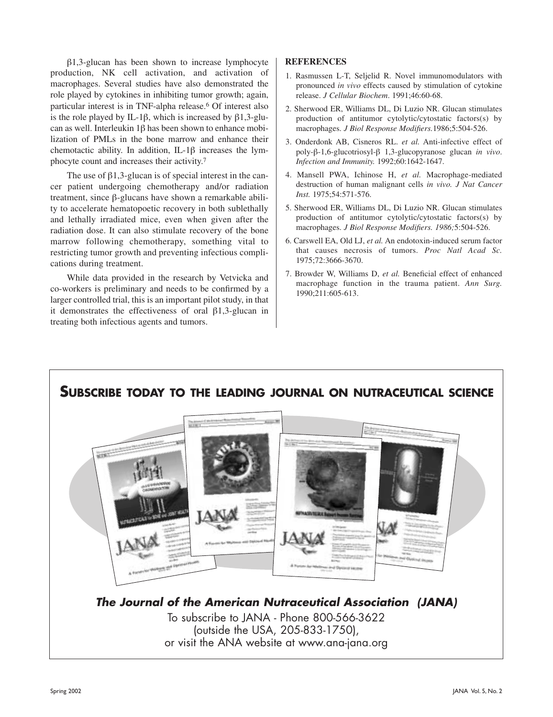β1,3-glucan has been shown to increase lymphocyte production, NK cell activation, and activation of macrophages. Several studies have also demonstrated the role played by cytokines in inhibiting tumor growth; again, particular interest is in TNF-alpha release.6 Of interest also is the role played by IL-1β, which is increased by β1,3-glucan as well. Interleukin 1β has been shown to enhance mobilization of PMLs in the bone marrow and enhance their chemotactic ability. In addition, IL-1β increases the lymphocyte count and increases their activity.7

The use of  $\beta$ 1,3-glucan is of special interest in the cancer patient undergoing chemotherapy and/or radiation treatment, since β-glucans have shown a remarkable ability to accelerate hematopoetic recovery in both sublethally and lethally irradiated mice, even when given after the radiation dose. It can also stimulate recovery of the bone marrow following chemotherapy, something vital to restricting tumor growth and preventing infectious complications during treatment.

While data provided in the research by Vetvicka and co-workers is preliminary and needs to be confirmed by a larger controlled trial, this is an important pilot study, in that it demonstrates the effectiveness of oral β1,3-glucan in treating both infectious agents and tumors.

#### **REFERENCES**

- 1. Rasmussen L-T, Seljelid R. Novel immunomodulators with pronounced *in vivo* effects caused by stimulation of cytokine release. *J Cellular Biochem*. 1991;46:60-68.
- 2. Sherwood ER, Williams DL, Di Luzio NR. Glucan stimulates production of antitumor cytolytic/cytostatic factors(s) by macrophages. *J Biol Response Modifiers.*1986;5:504-526.
- 3. Onderdonk AB, Cisneros RL. *et al.* Anti-infective effect of poly-β-1,6-glucotriosyl-β 1,3-glucopyranose glucan *in vivo*. *Infection and Immunity.* 1992;60:1642-1647.
- 4. Mansell PWA, Ichinose H, *et al.* Macrophage-mediated destruction of human malignant cells *in vivo. J Nat Cancer Inst.* 1975;54:571-576.
- 5. Sherwood ER, Williams DL, Di Luzio NR. Glucan stimulates production of antitumor cytolytic/cytostatic factors(s) by macrophages. *J Biol Response Modifiers. 1986;*5:504-526.
- 6. Carswell EA, Old LJ, *et al.* An endotoxin-induced serum factor that causes necrosis of tumors. *Proc Natl Acad Sc.* 1975;72:3666-3670.
- 7. Browder W, Williams D, *et al.* Beneficial effect of enhanced macrophage function in the trauma patient. *Ann Surg.* 1990;211:605-613.

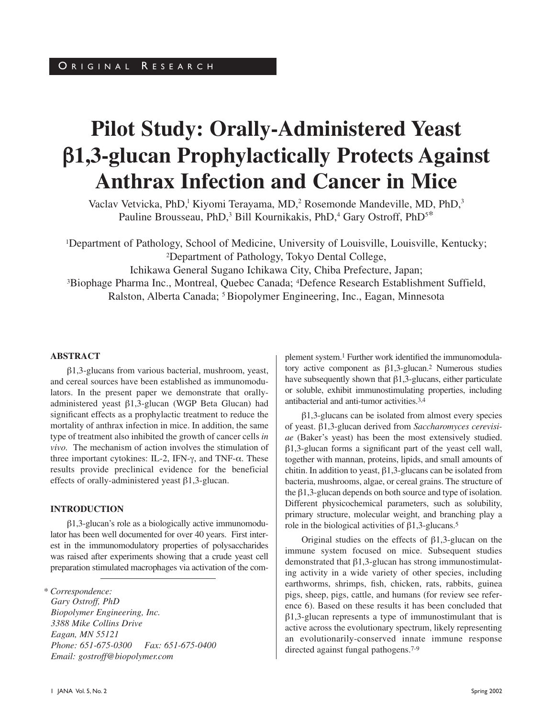# **Pilot Study: Orally-Administered Yeast**  β**1,3-glucan Prophylactically Protects Against Anthrax Infection and Cancer in Mice**

Vaclav Vetvicka, PhD,<sup>1</sup> Kiyomi Terayama, MD,<sup>2</sup> Rosemonde Mandeville, MD, PhD,<sup>3</sup> Pauline Brousseau, PhD,<sup>3</sup> Bill Kournikakis, PhD,<sup>4</sup> Gary Ostroff, PhD<sup>5\*</sup>

1Department of Pathology, School of Medicine, University of Louisville, Louisville, Kentucky; 2Department of Pathology, Tokyo Dental College, Ichikawa General Sugano Ichikawa City, Chiba Prefecture, Japan; 3Biophage Pharma Inc., Montreal, Quebec Canada; 4Defence Research Establishment Suffield, Ralston, Alberta Canada; 5 Biopolymer Engineering, Inc., Eagan, Minnesota

#### **ABSTRACT**

β1,3-glucans from various bacterial, mushroom, yeast, and cereal sources have been established as immunomodulators. In the present paper we demonstrate that orallyadministered yeast β1,3-glucan (WGP Beta Glucan) had significant effects as a prophylactic treatment to reduce the mortality of anthrax infection in mice. In addition, the same type of treatment also inhibited the growth of cancer cells *in vivo.* The mechanism of action involves the stimulation of three important cytokines: IL-2, IFN-γ, and TNF-α. These results provide preclinical evidence for the beneficial effects of orally-administered yeast β1,3-glucan.

#### **INTRODUCTION**

β1,3-glucan's role as a biologically active immunomodulator has been well documented for over 40 years. First interest in the immunomodulatory properties of polysaccharides was raised after experiments showing that a crude yeast cell preparation stimulated macrophages via activation of the com-

*\* Correspondence: Gary Ostroff, PhD Biopolymer Engineering, Inc. 3388 Mike Collins Drive Eagan, MN 55121 Phone: 651-675-0300 Fax: 651-675-0400 Email: gostroff@biopolymer.com*

plement system.1 Further work identified the immunomodulatory active component as  $β1,3$ -glucan.<sup>2</sup> Numerous studies have subsequently shown that  $\beta$ 1,3-glucans, either particulate or soluble, exhibit immunostimulating properties, including antibacterial and anti-tumor activities.3,4

β1,3-glucans can be isolated from almost every species of yeast. β1,3-glucan derived from *Saccharomyces cerevisiae* (Baker's yeast) has been the most extensively studied. β1,3-glucan forms a significant part of the yeast cell wall, together with mannan, proteins, lipids, and small amounts of chitin. In addition to yeast,  $\beta$ 1,3-glucans can be isolated from bacteria, mushrooms, algae, or cereal grains. The structure of the β1,3-glucan depends on both source and type of isolation. Different physicochemical parameters, such as solubility, primary structure, molecular weight, and branching play a role in the biological activities of β1,3-glucans.5

Original studies on the effects of β1,3-glucan on the immune system focused on mice. Subsequent studies demonstrated that β1,3-glucan has strong immunostimulating activity in a wide variety of other species, including earthworms, shrimps, fish, chicken, rats, rabbits, guinea pigs, sheep, pigs, cattle, and humans (for review see reference 6). Based on these results it has been concluded that β1,3-glucan represents a type of immunostimulant that is active across the evolutionary spectrum, likely representing an evolutionarily-conserved innate immune response directed against fungal pathogens.7-9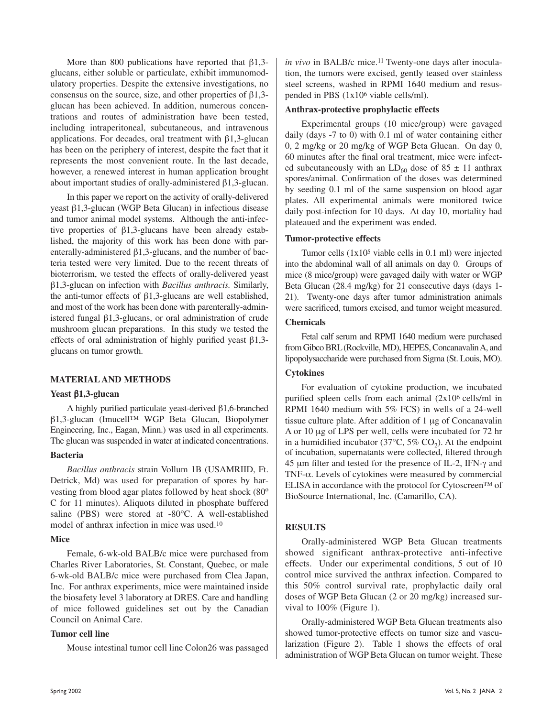More than 800 publications have reported that  $\beta$ 1,3glucans, either soluble or particulate, exhibit immunomodulatory properties. Despite the extensive investigations, no consensus on the source, size, and other properties of  $\beta$ 1,3glucan has been achieved. In addition, numerous concentrations and routes of administration have been tested, including intraperitoneal, subcutaneous, and intravenous applications. For decades, oral treatment with β1,3-glucan has been on the periphery of interest, despite the fact that it represents the most convenient route. In the last decade, however, a renewed interest in human application brought about important studies of orally-administered β1,3-glucan.

In this paper we report on the activity of orally-delivered yeast β1,3-glucan (WGP Beta Glucan) in infectious disease and tumor animal model systems. Although the anti-infective properties of β1,3-glucans have been already established, the majority of this work has been done with parenterally-administered  $\beta$ 1,3-glucans, and the number of bacteria tested were very limited. Due to the recent threats of bioterrorism, we tested the effects of orally-delivered yeast β1,3-glucan on infection with *Bacillus anthracis.* Similarly, the anti-tumor effects of β1,3-glucans are well established, and most of the work has been done with parenterally-administered fungal β1,3-glucans, or oral administration of crude mushroom glucan preparations. In this study we tested the effects of oral administration of highly purified yeast β1,3 glucans on tumor growth.

#### **MATERIAL AND METHODS**

#### **Yeast** β**1,3-glucan**

A highly purified particulate yeast-derived β1,6-branched β1,3-glucan (Imucell™ WGP Beta Glucan, Biopolymer Engineering, Inc., Eagan, Minn.) was used in all experiments. The glucan was suspended in water at indicated concentrations.

#### **Bacteria**

*Bacillus anthracis* strain Vollum 1B (USAMRIID, Ft. Detrick, Md) was used for preparation of spores by harvesting from blood agar plates followed by heat shock (80<sup>o</sup>) C for 11 minutes). Aliquots diluted in phosphate buffered saline (PBS) were stored at -80°C. A well-established model of anthrax infection in mice was used.10

#### **Mice**

Female, 6-wk-old BALB/c mice were purchased from Charles River Laboratories, St. Constant, Quebec, or male 6-wk-old BALB/c mice were purchased from Clea Japan, Inc. For anthrax experiments, mice were maintained inside the biosafety level 3 laboratory at DRES. Care and handling of mice followed guidelines set out by the Canadian Council on Animal Care.

#### **Tumor cell line**

Mouse intestinal tumor cell line Colon26 was passaged

*in vivo* in BALB/c mice.<sup>11</sup> Twenty-one days after inoculation, the tumors were excised, gently teased over stainless steel screens, washed in RPMI 1640 medium and resuspended in PBS (1x106 viable cells/ml).

#### **Anthrax-protective prophylactic effects**

Experimental groups (10 mice/group) were gavaged daily (days -7 to 0) with 0.1 ml of water containing either 0, 2 mg/kg or 20 mg/kg of WGP Beta Glucan. On day 0, 60 minutes after the final oral treatment, mice were infected subcutaneously with an  $LD_{60}$  dose of 85  $\pm$  11 anthrax spores/animal. Confirmation of the doses was determined by seeding 0.1 ml of the same suspension on blood agar plates. All experimental animals were monitored twice daily post-infection for 10 days. At day 10, mortality had plateaued and the experiment was ended.

#### **Tumor-protective effects**

Tumor cells (1x105 viable cells in 0.1 ml) were injected into the abdominal wall of all animals on day 0. Groups of mice (8 mice/group) were gavaged daily with water or WGP Beta Glucan (28.4 mg/kg) for 21 consecutive days (days 1- 21). Twenty-one days after tumor administration animals were sacrificed, tumors excised, and tumor weight measured.

#### **Chemicals**

Fetal calf serum and RPMI 1640 medium were purchased from Gibco BRL(Rockville, MD), HEPES, Concanavalin A, and lipopolysaccharide were purchased from Sigma (St. Louis, MO).

#### **Cytokines**

For evaluation of cytokine production, we incubated purified spleen cells from each animal (2x106 cells/ml in RPMI 1640 medium with 5% FCS) in wells of a 24-well tissue culture plate. After addition of 1 µg of Concanavalin A or 10 µg of LPS per well, cells were incubated for 72 hr in a humidified incubator (37 $\degree$ C, 5% CO<sub>2</sub>). At the endpoint of incubation, supernatants were collected, filtered through 45 µm filter and tested for the presence of IL-2, IFN-γ and TNF-α. Levels of cytokines were measured by commercial ELISA in accordance with the protocol for Cytoscreen™ of BioSource International, Inc. (Camarillo, CA).

#### **RESULTS**

Orally-administered WGP Beta Glucan treatments showed significant anthrax-protective anti-infective effects. Under our experimental conditions, 5 out of 10 control mice survived the anthrax infection. Compared to this 50% control survival rate, prophylactic daily oral doses of WGP Beta Glucan (2 or 20 mg/kg) increased survival to 100% (Figure 1).

Orally-administered WGP Beta Glucan treatments also showed tumor-protective effects on tumor size and vascularization (Figure 2). Table 1 shows the effects of oral administration of WGP Beta Glucan on tumor weight. These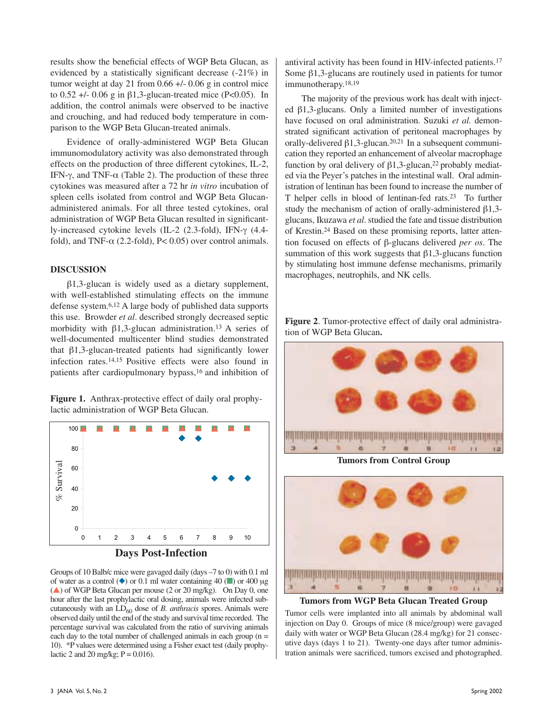results show the beneficial effects of WGP Beta Glucan, as evidenced by a statistically significant decrease (-21%) in tumor weight at day 21 from 0.66 +/- 0.06 g in control mice to  $0.52 +$ /-  $0.06$  g in  $\beta$ 1,3-glucan-treated mice (P<0.05). In addition, the control animals were observed to be inactive and crouching, and had reduced body temperature in comparison to the WGP Beta Glucan-treated animals.

Evidence of orally-administered WGP Beta Glucan immunomodulatory activity was also demonstrated through effects on the production of three different cytokines, IL-2, IFN-γ, and TNF-α (Table 2). The production of these three cytokines was measured after a 72 hr *in vitro* incubation of spleen cells isolated from control and WGP Beta Glucanadministered animals. For all three tested cytokines, oral administration of WGP Beta Glucan resulted in significantly-increased cytokine levels (IL-2 (2.3-fold), IFN-γ (4.4 fold), and TNF- $\alpha$  (2.2-fold), P< 0.05) over control animals.

#### **DISCUSSION**

β1,3-glucan is widely used as a dietary supplement, with well-established stimulating effects on the immune defense system.6,12 A large body of published data supports this use. Browder *et al*. described strongly decreased septic morbidity with  $\beta$ 1,3-glucan administration.<sup>13</sup> A series of well-documented multicenter blind studies demonstrated that β1,3-glucan-treated patients had significantly lower infection rates.14,15 Positive effects were also found in patients after cardiopulmonary bypass,16 and inhibition of

**Figure 1.** Anthrax-protective effect of daily oral prophylactic administration of WGP Beta Glucan.



Groups of 10 Balb/c mice were gavaged daily (days –7 to 0) with 0.1 ml of water as a control ( $\blacklozenge$ ) or 0.1 ml water containing 40 ( $\blacksquare$ ) or 400 µg  $(\triangle)$  of WGP Beta Glucan per mouse (2 or 20 mg/kg). On Day 0, one hour after the last prophylactic oral dosing, animals were infected subcutaneously with an LD<sub>60</sub> dose of *B. anthracis* spores. Animals were observed daily until the end of the study and survival time recorded. The percentage survival was calculated from the ratio of surviving animals each day to the total number of challenged animals in each group  $(n =$ 10). \*P values were determined using a Fisher exact test (daily prophylactic 2 and 20 mg/kg;  $P = 0.016$ .

antiviral activity has been found in HIV-infected patients.17 Some  $β1,3$ -glucans are routinely used in patients for tumor immunotherapy.18,19

The majority of the previous work has dealt with injected β1,3-glucans. Only a limited number of investigations have focused on oral administration. Suzuki *et al.* demonstrated significant activation of peritoneal macrophages by orally-delivered  $\beta$ 1,3-glucan.<sup>20,21</sup> In a subsequent communication they reported an enhancement of alveolar macrophage function by oral delivery of  $\beta$ 1,3-glucan,<sup>22</sup> probably mediated via the Peyer's patches in the intestinal wall. Oral administration of lentinan has been found to increase the number of T helper cells in blood of lentinan-fed rats.23 To further study the mechanism of action of orally-administered β1,3 glucans, Ikuzawa *et al*. studied the fate and tissue distribution of Krestin.24 Based on these promising reports, latter attention focused on effects of β-glucans delivered *per os*. The summation of this work suggests that  $\beta$ 1,3-glucans function by stimulating host immune defense mechanisms, primarily macrophages, neutrophils, and NK cells.

**Figure 2**. Tumor-protective effect of daily oral administration of WGP Beta Glucan**.**



**Tumors from WGP Beta Glucan Treated Group**

Tumor cells were implanted into all animals by abdominal wall injection on Day 0. Groups of mice (8 mice/group) were gavaged daily with water or WGP Beta Glucan (28.4 mg/kg) for 21 consecutive days (days 1 to 21). Twenty-one days after tumor administration animals were sacrificed, tumors excised and photographed.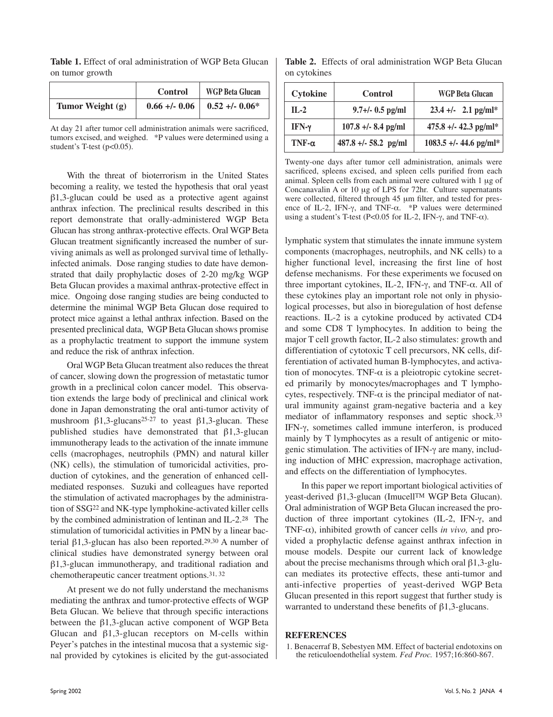**Table 1.** Effect of oral administration of WGP Beta Glucan on tumor growth

|                  | <b>Control</b>  | <b>WGP Beta Glucan</b> |
|------------------|-----------------|------------------------|
| Tumor Weight (g) | $0.66 + - 0.06$ | $0.52 + 0.06*$         |

At day 21 after tumor cell administration animals were sacrificed, tumors excised, and weighed. \*P values were determined using a student's T-test (p<0.05).

With the threat of bioterrorism in the United States becoming a reality, we tested the hypothesis that oral yeast β1,3-glucan could be used as a protective agent against anthrax infection. The preclinical results described in this report demonstrate that orally-administered WGP Beta Glucan has strong anthrax-protective effects. Oral WGP Beta Glucan treatment significantly increased the number of surviving animals as well as prolonged survival time of lethallyinfected animals. Dose ranging studies to date have demonstrated that daily prophylactic doses of 2-20 mg/kg WGP Beta Glucan provides a maximal anthrax-protective effect in mice. Ongoing dose ranging studies are being conducted to determine the minimal WGP Beta Glucan dose required to protect mice against a lethal anthrax infection. Based on the presented preclinical data, WGP Beta Glucan shows promise as a prophylactic treatment to support the immune system and reduce the risk of anthrax infection.

Oral WGP Beta Glucan treatment also reduces the threat of cancer, slowing down the progression of metastatic tumor growth in a preclinical colon cancer model. This observation extends the large body of preclinical and clinical work done in Japan demonstrating the oral anti-tumor activity of mushroom  $\beta$ 1,3-glucans<sup>25-27</sup> to yeast  $\beta$ 1,3-glucan. These published studies have demonstrated that β1,3-glucan immunotherapy leads to the activation of the innate immune cells (macrophages, neutrophils (PMN) and natural killer (NK) cells), the stimulation of tumoricidal activities, production of cytokines, and the generation of enhanced cellmediated responses. Suzuki and colleagues have reported the stimulation of activated macrophages by the administration of SSG22 and NK-type lymphokine-activated killer cells by the combined administration of lentinan and IL-2.28 The stimulation of tumoricidal activities in PMN by a linear bacterial β1,3-glucan has also been reported.29,30 A number of clinical studies have demonstrated synergy between oral β1,3-glucan immunotherapy, and traditional radiation and chemotherapeutic cancer treatment options.31, 32

At present we do not fully understand the mechanisms mediating the anthrax and tumor-protective effects of WGP Beta Glucan. We believe that through specific interactions between the β1,3-glucan active component of WGP Beta Glucan and  $\beta$ 1,3-glucan receptors on M-cells within Peyer's patches in the intestinal mucosa that a systemic signal provided by cytokines is elicited by the gut-associated

**Table 2.** Effects of oral administration WGP Beta Glucan on cytokines

| <b>Cytokine</b> | Control                | <b>WGP Beta Glucan</b>   |
|-----------------|------------------------|--------------------------|
| $II - 2$        | $9.7 +/- 0.5$ pg/ml    | $23.4$ +/- 2.1 pg/ml*    |
| IFN-γ           | $107.8 + - 8.4$ pg/ml  | $475.8 + (-42.3)$ pg/ml* |
| $TNF-\alpha$    | $487.8 +/- 58.2$ pg/ml | $1083.5$ +/- 44.6 pg/ml* |

Twenty-one days after tumor cell administration, animals were sacrificed, spleens excised, and spleen cells purified from each animal. Spleen cells from each animal were cultured with 1 µg of Concanavalin A or 10 µg of LPS for 72hr. Culture supernatants were collected, filtered through 45 µm filter, and tested for presence of IL-2, IFN-γ, and TNF-α. \*P values were determined using a student's T-test (P<0.05 for IL-2, IFN-γ, and TNF- $α$ ).

lymphatic system that stimulates the innate immune system components (macrophages, neutrophils, and NK cells) to a higher functional level, increasing the first line of host defense mechanisms. For these experiments we focused on three important cytokines, IL-2, IFN-γ, and TNF-α. All of these cytokines play an important role not only in physiological processes, but also in bioregulation of host defense reactions. IL-2 is a cytokine produced by activated CD4 and some CD8 T lymphocytes. In addition to being the major T cell growth factor, IL-2 also stimulates: growth and differentiation of cytotoxic T cell precursors, NK cells, differentiation of activated human B-lymphocytes, and activation of monocytes. TNF- $\alpha$  is a pleiotropic cytokine secreted primarily by monocytes/macrophages and T lymphocytes, respectively. TNF- $\alpha$  is the principal mediator of natural immunity against gram-negative bacteria and a key mediator of inflammatory responses and septic shock.<sup>33</sup> IFN-γ, sometimes called immune interferon, is produced mainly by T lymphocytes as a result of antigenic or mitogenic stimulation. The activities of IFN-γ are many, including induction of MHC expression, macrophage activation, and effects on the differentiation of lymphocytes.

In this paper we report important biological activities of yeast-derived β1,3-glucan (ImucellTM WGP Beta Glucan). Oral administration of WGP Beta Glucan increased the production of three important cytokines (IL-2, IFN-γ, and TNF-α), inhibited growth of cancer cells *in vivo,* and provided a prophylactic defense against anthrax infection in mouse models. Despite our current lack of knowledge about the precise mechanisms through which oral  $\beta$ 1,3-glucan mediates its protective effects, these anti-tumor and anti-infective properties of yeast-derived WGP Beta Glucan presented in this report suggest that further study is warranted to understand these benefits of  $\beta$ 1,3-glucans.

#### **REFERENCES**

1. Benacerraf B, Sebestyen MM. Effect of bacterial endotoxins on the reticuloendothelial system. *Fed Proc.* 1957;16:860-867.